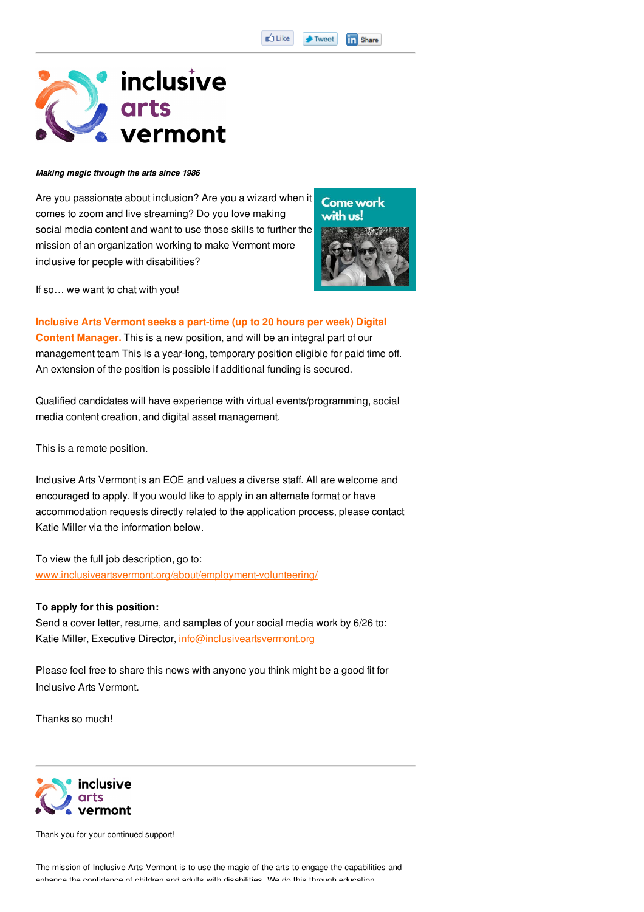## inclusive arts ermont

## *Making magic through the arts since 1986*

Are you passionate about inclusion? Are you a wizard when it comes to zoom and live streaming? Do you love making social media content and want to use those skills to further the mission of an organization working to make Vermont more inclusive for people with disabilities?



If so… we want to chat with you!

**Inclusive Arts Vermont seeks a part-time (up to 20 hours per week) Digital Content Manager.** This is a new position, and will be an integral part of our management team This is a year-long, temporary position eligible for paid time off. An extension of the position is possible if additional funding is secured.

Qualified candidates will have experience with virtual events/programming, social media content creation, and digital asset management.

This is a remote position.

Inclusive Arts Vermont is an EOE and values a diverse staff. All are welcome and encouraged to apply. If you would like to apply in an alternate format or have accommodation requests directly related to the application process, please contact Katie Miller via the information below.

To view the full job description, go to: www.inclusiveartsvermont.org/about/employment-volunteering/

## **To apply for this position:**

Send a cover letter, resume, and samples of your social media work by 6/26 to: Katie Miller, Executive Director, info@inclusiveartsvermont.org

Please feel free to share this news with anyone you think might be a good fit for Inclusive Arts Vermont.

Thanks so much!



Thank you for your continued support!

The mission of Inclusive Arts Vermont is to use the magic of the arts to engage the capabilities and enhance the confidence of children and adults with disabilities. We do this through education,